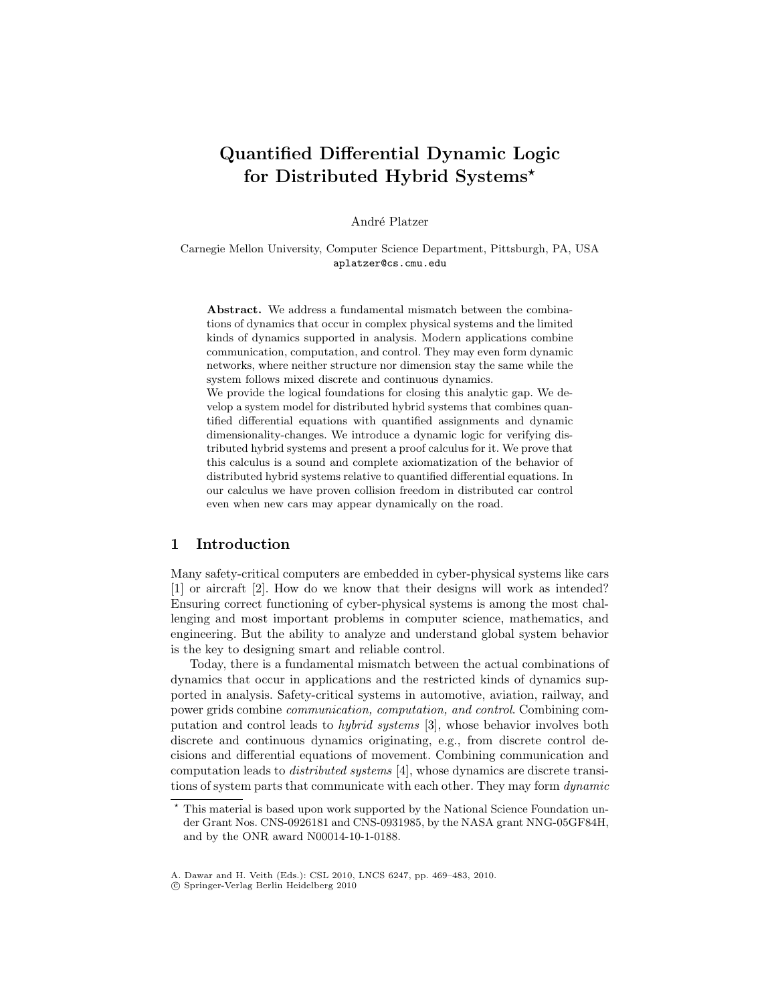# Quantified Differential Dynamic Logic for Distributed Hybrid Systems?

André Platzer

Carnegie Mellon University, Computer Science Department, Pittsburgh, PA, USA aplatzer@cs.cmu.edu

Abstract. We address a fundamental mismatch between the combinations of dynamics that occur in complex physical systems and the limited kinds of dynamics supported in analysis. Modern applications combine communication, computation, and control. They may even form dynamic networks, where neither structure nor dimension stay the same while the system follows mixed discrete and continuous dynamics.

We provide the logical foundations for closing this analytic gap. We develop a system model for distributed hybrid systems that combines quantified differential equations with quantified assignments and dynamic dimensionality-changes. We introduce a dynamic logic for verifying distributed hybrid systems and present a proof calculus for it. We prove that this calculus is a sound and complete axiomatization of the behavior of distributed hybrid systems relative to quantified differential equations. In our calculus we have proven collision freedom in distributed car control even when new cars may appear dynamically on the road.

## 1 Introduction

Many safety-critical computers are embedded in cyber-physical systems like cars [1] or aircraft [2]. How do we know that their designs will work as intended? Ensuring correct functioning of cyber-physical systems is among the most challenging and most important problems in computer science, mathematics, and engineering. But the ability to analyze and understand global system behavior is the key to designing smart and reliable control.

Today, there is a fundamental mismatch between the actual combinations of dynamics that occur in applications and the restricted kinds of dynamics supported in analysis. Safety-critical systems in automotive, aviation, railway, and power grids combine communication, computation, and control. Combining computation and control leads to hybrid systems [3], whose behavior involves both discrete and continuous dynamics originating, e.g., from discrete control decisions and differential equations of movement. Combining communication and computation leads to distributed systems [4], whose dynamics are discrete transitions of system parts that communicate with each other. They may form *dynamic* 

<sup>?</sup> This material is based upon work supported by the National Science Foundation under Grant Nos. CNS-0926181 and CNS-0931985, by the NASA grant NNG-05GF84H, and by the ONR award N00014-10-1-0188.

A. Dawar and H. Veith (Eds.): CSL 2010, LNCS 6247, pp. 469–483, 2010.

c Springer-Verlag Berlin Heidelberg 2010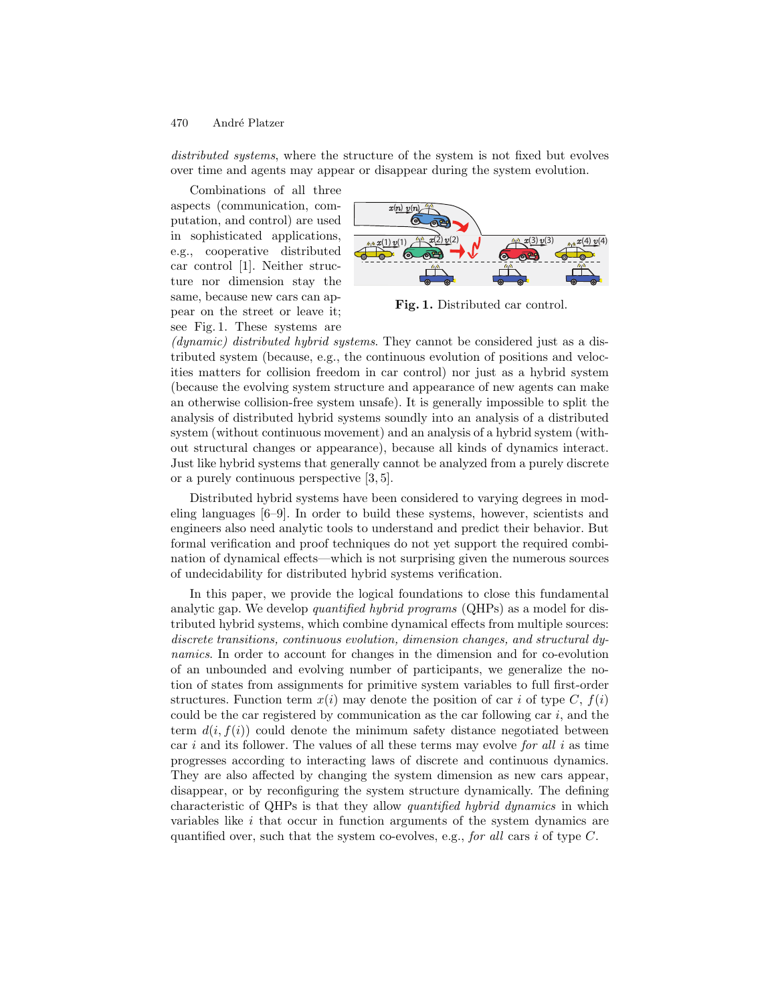distributed systems, where the structure of the system is not fixed but evolves over time and agents may appear or disappear during the system evolution.

Combinations of all three aspects (communication, computation, and control) are used in sophisticated applications, e.g., cooperative distributed car control [1]. Neither structure nor dimension stay the same, because new cars can appear on the street or leave it; see Fig. 1. These systems are



Fig. 1. Distributed car control.

(dynamic) distributed hybrid systems. They cannot be considered just as a distributed system (because, e.g., the continuous evolution of positions and velocities matters for collision freedom in car control) nor just as a hybrid system (because the evolving system structure and appearance of new agents can make an otherwise collision-free system unsafe). It is generally impossible to split the analysis of distributed hybrid systems soundly into an analysis of a distributed system (without continuous movement) and an analysis of a hybrid system (without structural changes or appearance), because all kinds of dynamics interact. Just like hybrid systems that generally cannot be analyzed from a purely discrete or a purely continuous perspective [3, 5].

Distributed hybrid systems have been considered to varying degrees in modeling languages [6–9]. In order to build these systems, however, scientists and engineers also need analytic tools to understand and predict their behavior. But formal verification and proof techniques do not yet support the required combination of dynamical effects—which is not surprising given the numerous sources of undecidability for distributed hybrid systems verification.

In this paper, we provide the logical foundations to close this fundamental analytic gap. We develop quantified hybrid programs (QHPs) as a model for distributed hybrid systems, which combine dynamical effects from multiple sources: discrete transitions, continuous evolution, dimension changes, and structural dynamics. In order to account for changes in the dimension and for co-evolution of an unbounded and evolving number of participants, we generalize the notion of states from assignments for primitive system variables to full first-order structures. Function term  $x(i)$  may denote the position of car i of type C,  $f(i)$ could be the car registered by communication as the car following car  $i$ , and the term  $d(i, f(i))$  could denote the minimum safety distance negotiated between car i and its follower. The values of all these terms may evolve for all i as time progresses according to interacting laws of discrete and continuous dynamics. They are also affected by changing the system dimension as new cars appear, disappear, or by reconfiguring the system structure dynamically. The defining characteristic of QHPs is that they allow quantified hybrid dynamics in which variables like  $i$  that occur in function arguments of the system dynamics are quantified over, such that the system co-evolves, e.g., for all cars  $i$  of type  $C$ .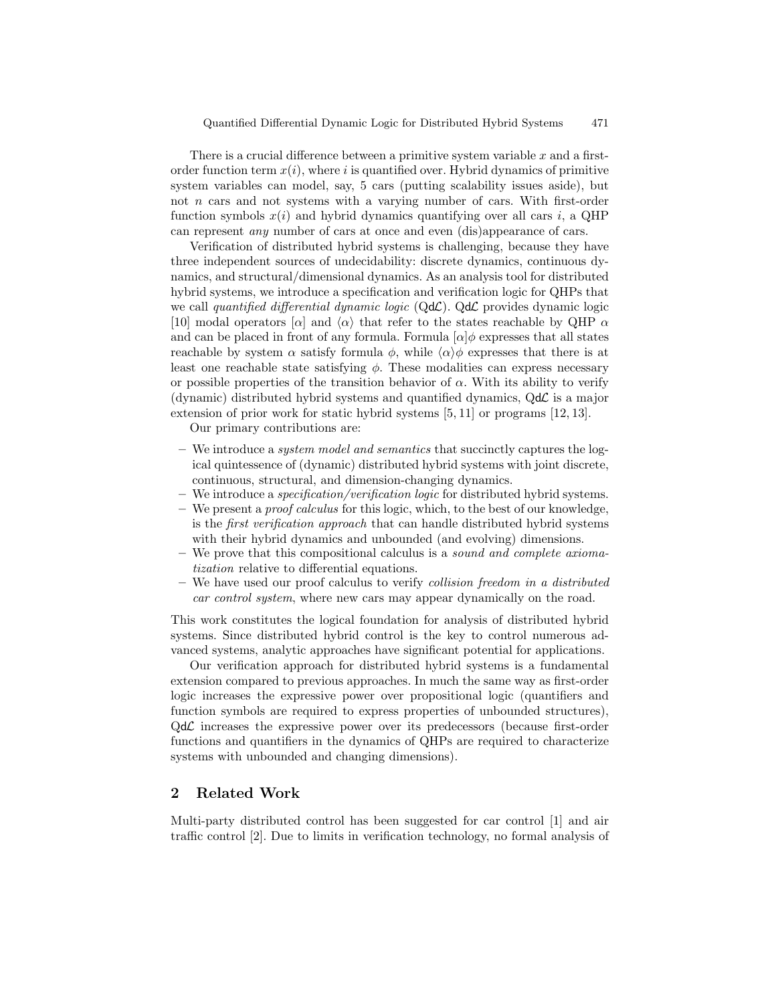There is a crucial difference between a primitive system variable  $x$  and a firstorder function term  $x(i)$ , where i is quantified over. Hybrid dynamics of primitive system variables can model, say, 5 cars (putting scalability issues aside), but not  $n$  cars and not systems with a varying number of cars. With first-order function symbols  $x(i)$  and hybrid dynamics quantifying over all cars i, a QHP can represent any number of cars at once and even (dis)appearance of cars.

Verification of distributed hybrid systems is challenging, because they have three independent sources of undecidability: discrete dynamics, continuous dynamics, and structural/dimensional dynamics. As an analysis tool for distributed hybrid systems, we introduce a specification and verification logic for QHPs that we call quantified differential dynamic logic  $(Qd\mathcal{L})$ .  $Qd\mathcal{L}$  provides dynamic logic [10] modal operators [ $\alpha$ ] and  $\langle \alpha \rangle$  that refer to the states reachable by QHP  $\alpha$ and can be placed in front of any formula. Formula  $\alpha | \phi$  expresses that all states reachable by system  $\alpha$  satisfy formula  $\phi$ , while  $\langle \alpha \rangle \phi$  expresses that there is at least one reachable state satisfying  $\phi$ . These modalities can express necessary or possible properties of the transition behavior of  $\alpha$ . With its ability to verify (dynamic) distributed hybrid systems and quantified dynamics,  $Qd\mathcal{L}$  is a major extension of prior work for static hybrid systems [5, 11] or programs [12, 13].

Our primary contributions are:

- We introduce a system model and semantics that succinctly captures the logical quintessence of (dynamic) distributed hybrid systems with joint discrete, continuous, structural, and dimension-changing dynamics.
- We introduce a *specification/verification logic* for distributed hybrid systems.
- $-$  We present a *proof calculus* for this logic, which, to the best of our knowledge, is the first verification approach that can handle distributed hybrid systems with their hybrid dynamics and unbounded (and evolving) dimensions.
- We prove that this compositional calculus is a sound and complete axiomatization relative to differential equations.
- We have used our proof calculus to verify collision freedom in a distributed car control system, where new cars may appear dynamically on the road.

This work constitutes the logical foundation for analysis of distributed hybrid systems. Since distributed hybrid control is the key to control numerous advanced systems, analytic approaches have significant potential for applications.

Our verification approach for distributed hybrid systems is a fundamental extension compared to previous approaches. In much the same way as first-order logic increases the expressive power over propositional logic (quantifiers and function symbols are required to express properties of unbounded structures), QdL increases the expressive power over its predecessors (because first-order functions and quantifiers in the dynamics of QHPs are required to characterize systems with unbounded and changing dimensions).

# 2 Related Work

Multi-party distributed control has been suggested for car control [1] and air traffic control [2]. Due to limits in verification technology, no formal analysis of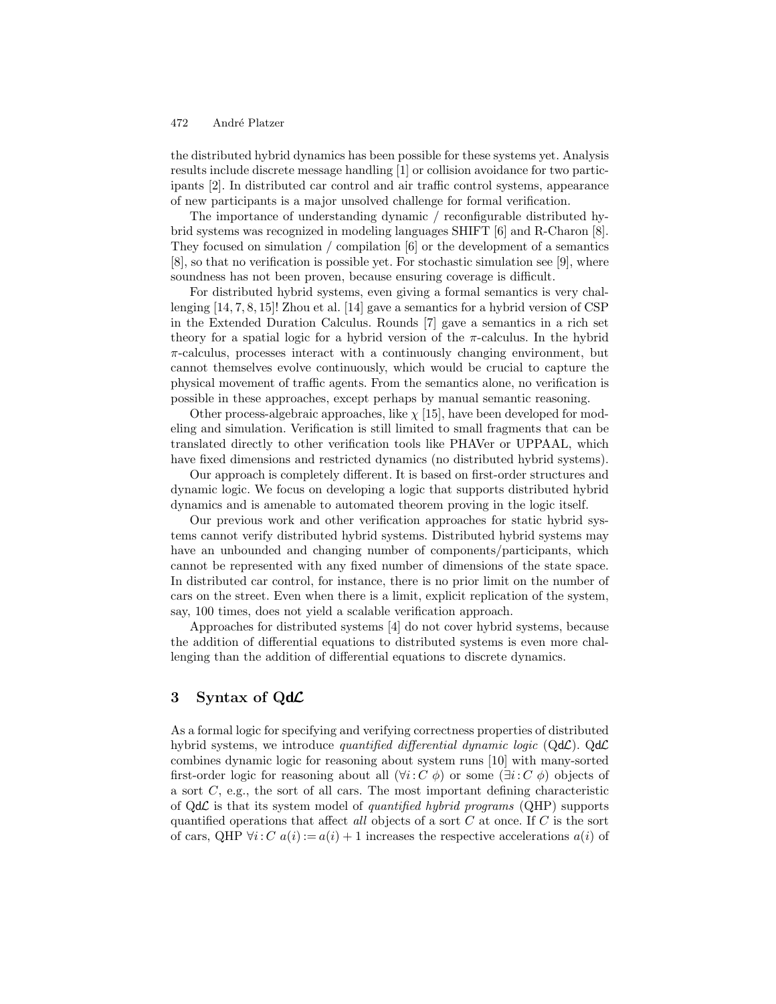the distributed hybrid dynamics has been possible for these systems yet. Analysis results include discrete message handling [1] or collision avoidance for two participants [2]. In distributed car control and air traffic control systems, appearance of new participants is a major unsolved challenge for formal verification.

The importance of understanding dynamic / reconfigurable distributed hybrid systems was recognized in modeling languages SHIFT [6] and R-Charon [8]. They focused on simulation / compilation  $|6|$  or the development of a semantics [8], so that no verification is possible yet. For stochastic simulation see [9], where soundness has not been proven, because ensuring coverage is difficult.

For distributed hybrid systems, even giving a formal semantics is very challenging [14, 7, 8, 15]! Zhou et al. [14] gave a semantics for a hybrid version of CSP in the Extended Duration Calculus. Rounds [7] gave a semantics in a rich set theory for a spatial logic for a hybrid version of the  $\pi$ -calculus. In the hybrid  $\pi$ -calculus, processes interact with a continuously changing environment, but cannot themselves evolve continuously, which would be crucial to capture the physical movement of traffic agents. From the semantics alone, no verification is possible in these approaches, except perhaps by manual semantic reasoning.

Other process-algebraic approaches, like  $\chi$  [15], have been developed for modeling and simulation. Verification is still limited to small fragments that can be translated directly to other verification tools like PHAVer or UPPAAL, which have fixed dimensions and restricted dynamics (no distributed hybrid systems).

Our approach is completely different. It is based on first-order structures and dynamic logic. We focus on developing a logic that supports distributed hybrid dynamics and is amenable to automated theorem proving in the logic itself.

Our previous work and other verification approaches for static hybrid systems cannot verify distributed hybrid systems. Distributed hybrid systems may have an unbounded and changing number of components/participants, which cannot be represented with any fixed number of dimensions of the state space. In distributed car control, for instance, there is no prior limit on the number of cars on the street. Even when there is a limit, explicit replication of the system, say, 100 times, does not yield a scalable verification approach.

Approaches for distributed systems [4] do not cover hybrid systems, because the addition of differential equations to distributed systems is even more challenging than the addition of differential equations to discrete dynamics.

# 3 Syntax of QdL

As a formal logic for specifying and verifying correctness properties of distributed hybrid systems, we introduce quantified differential dynamic logic  $(Qd\mathcal{L})$ .  $Qd\mathcal{L}$ combines dynamic logic for reasoning about system runs [10] with many-sorted first-order logic for reasoning about all  $(\forall i: C \phi)$  or some  $(\exists i: C \phi)$  objects of a sort  $C$ , e.g., the sort of all cars. The most important defining characteristic of  $Qd\mathcal{L}$  is that its system model of *quantified hybrid programs* (QHP) supports quantified operations that affect all objects of a sort  $C$  at once. If  $C$  is the sort of cars, QHP  $\forall i: C \ a(i) := a(i) + 1$  increases the respective accelerations  $a(i)$  of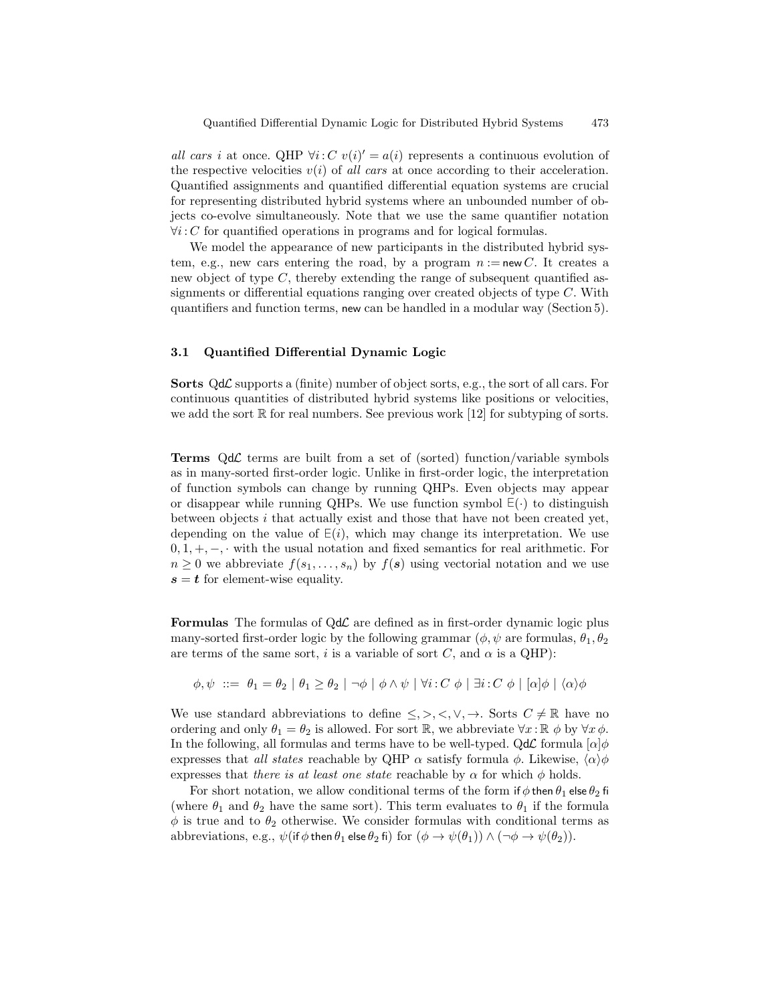all cars i at once. QHP  $\forall i: C \ v(i)' = a(i)$  represents a continuous evolution of the respective velocities  $v(i)$  of all cars at once according to their acceleration. Quantified assignments and quantified differential equation systems are crucial for representing distributed hybrid systems where an unbounded number of objects co-evolve simultaneously. Note that we use the same quantifier notation  $\forall i: C$  for quantified operations in programs and for logical formulas.

We model the appearance of new participants in the distributed hybrid system, e.g., new cars entering the road, by a program  $n := new C$ . It creates a new object of type C, thereby extending the range of subsequent quantified assignments or differential equations ranging over created objects of type  $C$ . With quantifiers and function terms, new can be handled in a modular way (Section 5).

#### 3.1 Quantified Differential Dynamic Logic

Sorts  $Qd\mathcal{L}$  supports a (finite) number of object sorts, e.g., the sort of all cars. For continuous quantities of distributed hybrid systems like positions or velocities, we add the sort  $\mathbb R$  for real numbers. See previous work [12] for subtyping of sorts.

**Terms**  $Qd\mathcal{L}$  terms are built from a set of (sorted) function/variable symbols as in many-sorted first-order logic. Unlike in first-order logic, the interpretation of function symbols can change by running QHPs. Even objects may appear or disappear while running QHPs. We use function symbol <sup>∃</sup> (·) to distinguish between objects  $i$  that actually exist and those that have not been created yet, depending on the value of  $E(i)$ , which may change its interpretation. We use  $0, 1, +, -, \cdot$  with the usual notation and fixed semantics for real arithmetic. For  $n \geq 0$  we abbreviate  $f(s_1, \ldots, s_n)$  by  $f(\mathbf{s})$  using vectorial notation and we use  $s = t$  for element-wise equality.

Formulas The formulas of  $Qd\mathcal{L}$  are defined as in first-order dynamic logic plus many-sorted first-order logic by the following grammar ( $\phi, \psi$  are formulas,  $\theta_1, \theta_2$ are terms of the same sort, i is a variable of sort C, and  $\alpha$  is a QHP):

$$
\phi, \psi \ ::= \ \theta_1 = \theta_2 \mid \theta_1 \ge \theta_2 \mid \neg \phi \mid \phi \land \psi \mid \forall i : C \phi \mid \exists i : C \phi \mid [\alpha] \phi \mid \langle \alpha \rangle \phi
$$

We use standard abbreviations to define  $\leq,>,<,\vee,\rightarrow$ . Sorts  $C \neq \mathbb{R}$  have no ordering and only  $\theta_1 = \theta_2$  is allowed. For sort R, we abbreviate  $\forall x : \mathbb{R} \phi$  by  $\forall x \phi$ . In the following, all formulas and terms have to be well-typed. QdL formula  $\lbrack \alpha \rbrack \phi$ expresses that all states reachable by QHP  $\alpha$  satisfy formula  $\phi$ . Likewise,  $\langle \alpha \rangle \phi$ expresses that there is at least one state reachable by  $\alpha$  for which  $\phi$  holds.

For short notation, we allow conditional terms of the form if  $\phi$  then  $\theta_1$  else  $\theta_2$  fi (where  $\theta_1$  and  $\theta_2$  have the same sort). This term evaluates to  $\theta_1$  if the formula  $\phi$  is true and to  $\theta_2$  otherwise. We consider formulas with conditional terms as abbreviations, e.g.,  $\psi$ (if  $\phi$  then  $\theta_1$  else  $\theta_2$  fi) for  $(\phi \to \psi(\theta_1)) \wedge (\neg \phi \to \psi(\theta_2)).$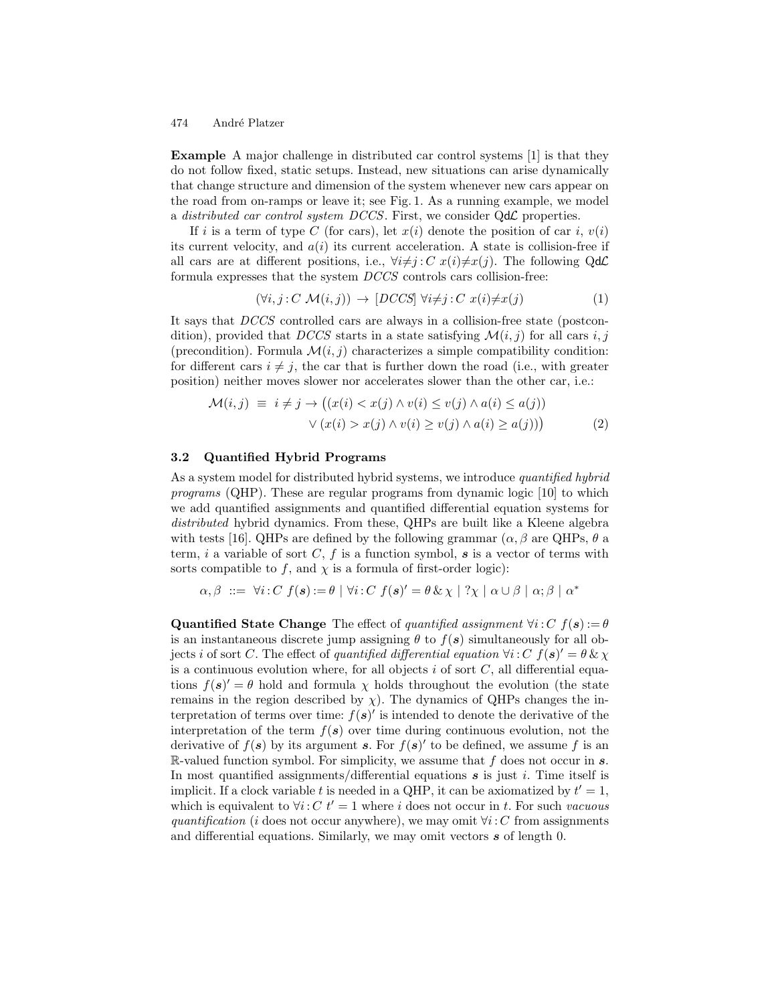Example A major challenge in distributed car control systems [1] is that they do not follow fixed, static setups. Instead, new situations can arise dynamically that change structure and dimension of the system whenever new cars appear on the road from on-ramps or leave it; see Fig. 1. As a running example, we model a distributed car control system DCCS. First, we consider  $Qd\mathcal{L}$  properties.

If i is a term of type C (for cars), let  $x(i)$  denote the position of car i,  $v(i)$ its current velocity, and  $a(i)$  its current acceleration. A state is collision-free if all cars are at different positions, i.e.,  $\forall i \neq j : C \ x(i) \neq x(j)$ . The following QdC formula expresses that the system DCCS controls cars collision-free:

$$
(\forall i, j: C \mathcal{M}(i, j)) \to [DCCS] \ \forall i \neq j: C \ x(i) \neq x(j)
$$
 (1)

It says that DCCS controlled cars are always in a collision-free state (postcondition), provided that DCCS starts in a state satisfying  $\mathcal{M}(i, j)$  for all cars i, j (precondition). Formula  $\mathcal{M}(i, j)$  characterizes a simple compatibility condition: for different cars  $i \neq j$ , the car that is further down the road (i.e., with greater position) neither moves slower nor accelerates slower than the other car, i.e.:

$$
\mathcal{M}(i,j) \equiv i \neq j \rightarrow ((x(i) < x(j) \land v(i) \leq v(j) \land a(i) \leq a(j)) \lor (x(i) > x(j) \land v(i) \geq v(j) \land a(i) \geq a(j)))
$$
\n
$$
(2)
$$

#### 3.2 Quantified Hybrid Programs

As a system model for distributed hybrid systems, we introduce *quantified hybrid* programs (QHP). These are regular programs from dynamic logic [10] to which we add quantified assignments and quantified differential equation systems for distributed hybrid dynamics. From these, QHPs are built like a Kleene algebra with tests [16]. QHPs are defined by the following grammar  $(\alpha, \beta$  are QHPs,  $\theta$  a term,  $i$  a variable of sort  $C, f$  is a function symbol,  $s$  is a vector of terms with sorts compatible to f, and  $\chi$  is a formula of first-order logic):

$$
\alpha, \beta \ ::= \ \forall i : C \ f(\mathbf{s}) := \theta \mid \forall i : C \ f(\mathbf{s})' = \theta \ \& \ \chi \mid ?\chi \mid \alpha \cup \beta \mid \alpha; \beta \mid \alpha^*
$$

**Quantified State Change** The effect of quantified assignment  $\forall i: C \; f(\mathbf{s}) := \theta$ is an instantaneous discrete jump assigning  $\theta$  to  $f(\mathbf{s})$  simultaneously for all objects i of sort C. The effect of quantified differential equation  $\forall i: C \ f(\mathbf{s})' = \theta \& \chi$ is a continuous evolution where, for all objects  $i$  of sort  $C$ , all differential equations  $f(s)' = \theta$  hold and formula  $\chi$  holds throughout the evolution (the state remains in the region described by  $\chi$ ). The dynamics of QHPs changes the interpretation of terms over time:  $f(s)$  is intended to denote the derivative of the interpretation of the term  $f(\mathbf{s})$  over time during continuous evolution, not the derivative of  $f(\mathbf{s})$  by its argument s. For  $f(\mathbf{s})'$  to be defined, we assume f is an R-valued function symbol. For simplicity, we assume that  $f$  does not occur in  $s$ . In most quantified assignments/differential equations  $s$  is just i. Time itself is implicit. If a clock variable t is needed in a QHP, it can be axiomatized by  $t' = 1$ , which is equivalent to  $\forall i: C \; t' = 1$  where i does not occur in t. For such vacuous quantification (i does not occur anywhere), we may omit  $\forall i: C$  from assignments and differential equations. Similarly, we may omit vectors s of length 0.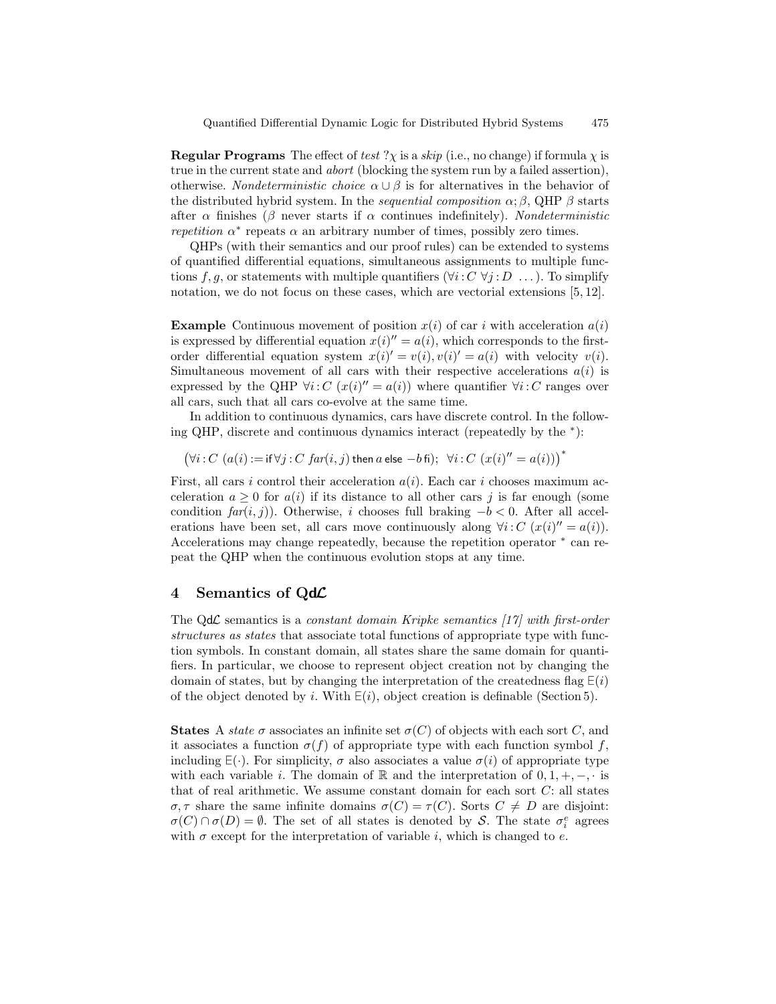**Regular Programs** The effect of test ? $\chi$  is a skip (i.e., no change) if formula  $\chi$  is true in the current state and abort (blocking the system run by a failed assertion), otherwise. Nondeterministic choice  $\alpha \cup \beta$  is for alternatives in the behavior of the distributed hybrid system. In the *sequential composition*  $\alpha$ ;  $\beta$ , QHP  $\beta$  starts after  $\alpha$  finishes ( $\beta$  never starts if  $\alpha$  continues indefinitely). Nondeterministic *repetition*  $\alpha^*$  repeats  $\alpha$  an arbitrary number of times, possibly zero times.

QHPs (with their semantics and our proof rules) can be extended to systems of quantified differential equations, simultaneous assignments to multiple functions f, g, or statements with multiple quantifiers  $(\forall i: C \forall j: D \dots)$ . To simplify notation, we do not focus on these cases, which are vectorial extensions [5, 12].

**Example** Continuous movement of position  $x(i)$  of car i with acceleration  $a(i)$ is expressed by differential equation  $x(i)'' = a(i)$ , which corresponds to the firstorder differential equation system  $x(i)' = v(i), v(i)' = a(i)$  with velocity  $v(i)$ . Simultaneous movement of all cars with their respective accelerations  $a(i)$  is expressed by the QHP  $\forall i: C \ (x(i)^{\prime\prime} = a(i))$  where quantifier  $\forall i: C$  ranges over all cars, such that all cars co-evolve at the same time.

In addition to continuous dynamics, cars have discrete control. In the following QHP, discrete and continuous dynamics interact (repeatedly by the <sup>∗</sup> ):

$$
(\forall i:C\ (a(i):=if\forall j:C\ \text{far}(i,j)\ \text{then}\ a\ \text{else}\ -b\ \text{fi});\ \ \forall i:C\ (x(i)'=a(i))\big)^*
$$

First, all cars i control their acceleration  $a(i)$ . Each car i chooses maximum acceleration  $a > 0$  for  $a(i)$  if its distance to all other cars j is far enough (some condition  $\text{far}(i, j)$ ). Otherwise, i chooses full braking  $-b < 0$ . After all accelerations have been set, all cars move continuously along  $\forall i: C \ (x(i)^{\prime\prime} = a(i)).$ Accelerations may change repeatedly, because the repetition operator  $*$  can repeat the QHP when the continuous evolution stops at any time.

### 4 Semantics of QdC

The QdC semantics is a constant domain Kripke semantics  $[17]$  with first-order structures as states that associate total functions of appropriate type with function symbols. In constant domain, all states share the same domain for quantifiers. In particular, we choose to represent object creation not by changing the domain of states, but by changing the interpretation of the createdness flag  $E(i)$ of the object denoted by *i*. With  $E(i)$ , object creation is definable (Section 5).

States A *state*  $\sigma$  associates an infinite set  $\sigma(C)$  of objects with each sort C, and it associates a function  $\sigma(f)$  of appropriate type with each function symbol f, including  $E(\cdot)$ . For simplicity,  $\sigma$  also associates a value  $\sigma(i)$  of appropriate type with each variable i. The domain of R and the interpretation of  $0, 1, +, -, \cdot$  is that of real arithmetic. We assume constant domain for each sort  $C:$  all states  $\sigma, \tau$  share the same infinite domains  $\sigma(C) = \tau(C)$ . Sorts  $C \neq D$  are disjoint:  $\sigma(C) \cap \sigma(D) = \emptyset$ . The set of all states is denoted by S. The state  $\sigma_i^e$  agrees with  $\sigma$  except for the interpretation of variable i, which is changed to e.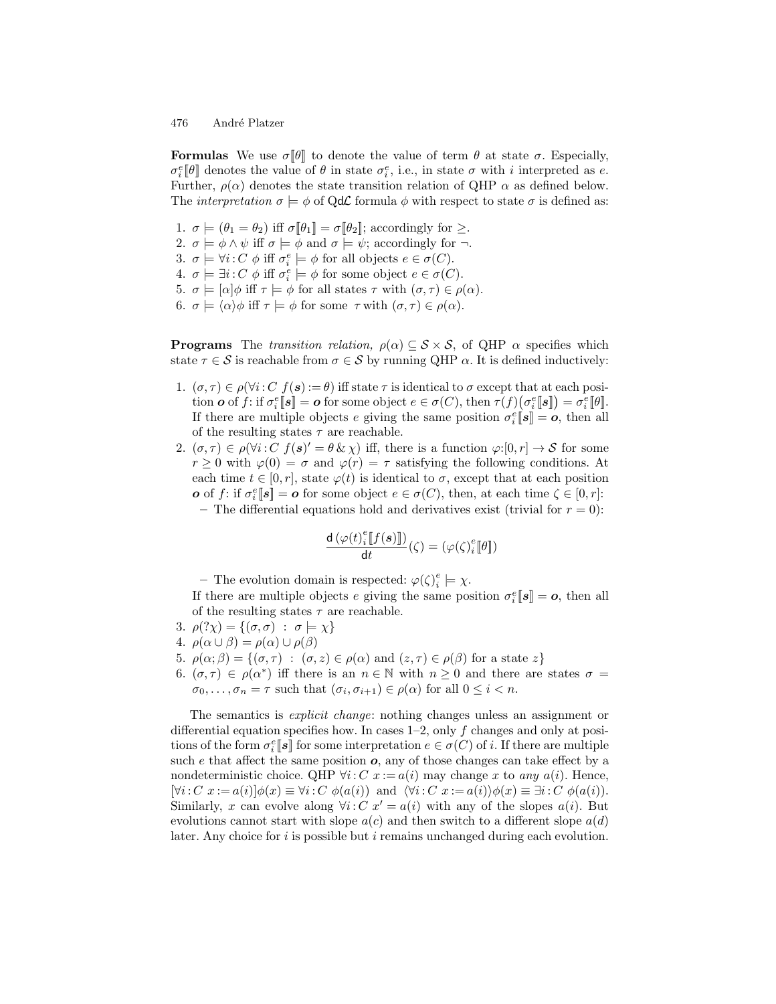**Formulas** We use  $\sigma[\theta]$  to denote the value of term  $\theta$  at state  $\sigma$ . Especially,  $\sigma_i^e[\![\theta]\!]$  denotes the value of  $\theta$  in state  $\sigma_i^e$ , i.e., in state  $\sigma$  with *i* interpreted as *e*. Further,  $\rho(\alpha)$  denotes the state transition relation of QHP  $\alpha$  as defined below. The *interpretation*  $\sigma \models \phi$  of QdC formula  $\phi$  with respect to state  $\sigma$  is defined as:

1.  $\sigma \models (\theta_1 = \theta_2)$  iff  $\sigma[\![\theta_1]\!] = \sigma[\![\theta_2]\!]$ ; accordingly for  $\geq$ . 2.  $\sigma \models \phi \land \psi$  iff  $\sigma \models \phi$  and  $\sigma \models \psi$ ; accordingly for  $\neg$ . 3.  $\sigma \models \forall i: C \phi \text{ iff } \sigma_i^e \models \phi \text{ for all objects } e \in \sigma(C).$ 4.  $\sigma \models \exists i : C \phi \text{ iff } \sigma_i^e \models \phi \text{ for some object } e \in \sigma(C).$ 5.  $\sigma \models [\alpha] \phi$  iff  $\tau \models \phi$  for all states  $\tau$  with  $(\sigma, \tau) \in \rho(\alpha)$ . 6.  $\sigma \models \langle \alpha \rangle \phi$  iff  $\tau \models \phi$  for some  $\tau$  with  $(\sigma, \tau) \in \rho(\alpha)$ .

**Programs** The transition relation,  $\rho(\alpha) \subseteq S \times S$ , of QHP  $\alpha$  specifies which state  $\tau \in \mathcal{S}$  is reachable from  $\sigma \in \mathcal{S}$  by running QHP  $\alpha$ . It is defined inductively:

- 1.  $(\sigma, \tau) \in \rho(\forall i: C \; f(\mathbf{s}) := \theta)$  iff state  $\tau$  is identical to  $\sigma$  except that at each position  $o$  of  $f:$  if  $\sigma_i^e[\![s]\!]= o$  for some object  $e \in \sigma(C)$ , then  $\tau(f)(\sigma_i^e[\![s]\!]) = \sigma_i^e[\![\theta]\!].$ If there are multiple objects e giving the same position  $\sigma_i^e[\hspace{-1.5pt}[ s]\hspace{-1.5pt}] = \boldsymbol{o}$ , then all of the resulting states  $\tau$  are reachable.
- 2.  $(\sigma, \tau) \in \rho(\forall i : C \ f(\mathbf{s})' = \theta \& \chi)$  iff, there is a function  $\varphi:[0, r] \to S$  for some  $r \geq 0$  with  $\varphi(0) = \sigma$  and  $\varphi(r) = \tau$  satisfying the following conditions. At each time  $t \in [0, r]$ , state  $\varphi(t)$  is identical to  $\sigma$ , except that at each position *o* of  $f$ : if  $\sigma_i^e[\![s]\!] =$  *o* for some object  $e \in \sigma(C)$ , then, at each time  $\zeta \in [0, r]$ : – The differential equations hold and derivatives exist (trivial for  $r = 0$ ):

$$
\frac{\mathrm{d}\left(\varphi(t)_i^e[\![f(\boldsymbol{s})]\!]\right)}{\mathrm{d}t}(\boldsymbol{\zeta}) = (\varphi(\boldsymbol{\zeta})_i^e[\![\boldsymbol{\theta}]\!])
$$

- The evolution domain is respected:  $\varphi(\zeta)_i^e \models \chi$ .

If there are multiple objects e giving the same position  $\sigma_i^e[\![s]\!]= o$ , then all of the resulting states  $\tau$  are reachable.

- 3.  $\rho$  $(\gamma \chi) = \{(\sigma, \sigma) : \sigma \models \chi\}$
- 4.  $\rho(\alpha \cup \beta) = \rho(\alpha) \cup \rho(\beta)$
- 5.  $\rho(\alpha;\beta) = \{(\sigma,\tau) : (\sigma,z) \in \rho(\alpha) \text{ and } (z,\tau) \in \rho(\beta) \text{ for a state } z\}$
- 6.  $(\sigma, \tau) \in \rho(\alpha^*)$  iff there is an  $n \in \mathbb{N}$  with  $n \geq 0$  and there are states  $\sigma =$  $\sigma_0, \ldots, \sigma_n = \tau$  such that  $(\sigma_i, \sigma_{i+1}) \in \rho(\alpha)$  for all  $0 \leq i < n$ .

The semantics is explicit change: nothing changes unless an assignment or differential equation specifies how. In cases  $1-2$ , only f changes and only at positions of the form  $\sigma_i^e[\![s]\!]$  for some interpretation  $e \in \sigma(C)$  of *i*. If there are multiple such  $e$  that affect the same position  $o$ , any of those changes can take effect by a nondeterministic choice. QHP  $\forall i: C \ x := a(i)$  may change x to any  $a(i)$ . Hence,  $[\forall i: C \ x := a(i)] \phi(x) \equiv \forall i: C \ \phi(a(i))$  and  $\langle \forall i: C \ x := a(i) \rangle \phi(x) \equiv \exists i: C \ \phi(a(i)).$ Similarly, x can evolve along  $\forall i: C \; x' = a(i)$  with any of the slopes  $a(i)$ . But evolutions cannot start with slope  $a(c)$  and then switch to a different slope  $a(d)$ later. Any choice for  $i$  is possible but  $i$  remains unchanged during each evolution.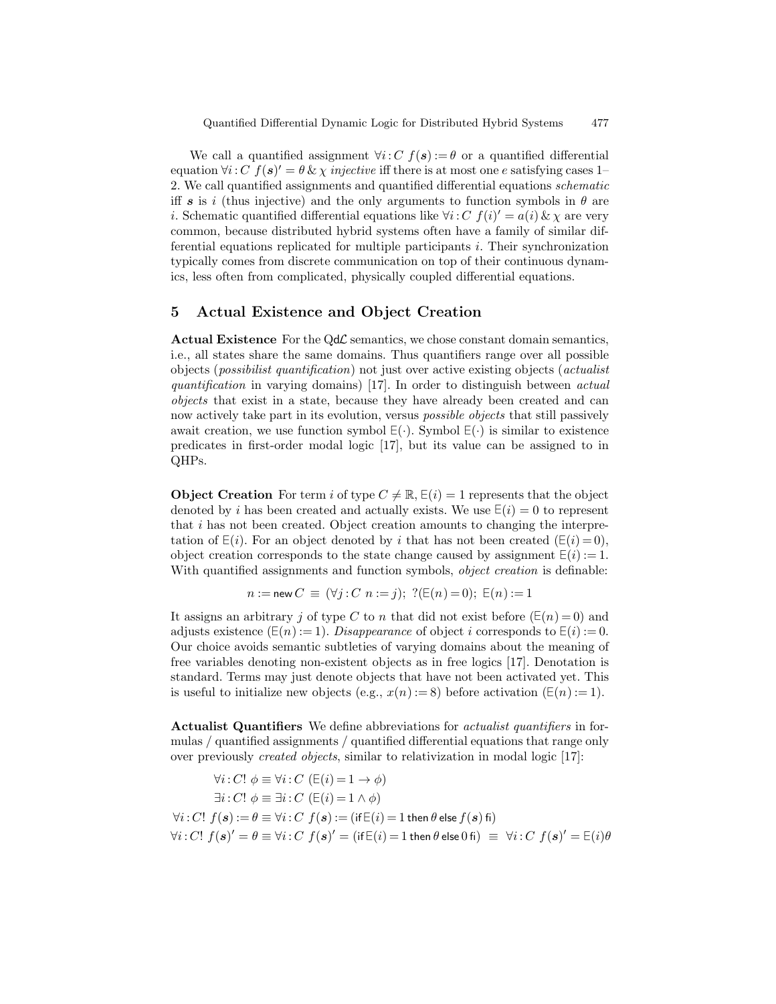We call a quantified assignment  $\forall i: C \ f(s) := \theta$  or a quantified differential equation  $\forall i: C \ f(\mathbf{s})' = \theta \& \chi$  injective iff there is at most one e satisfying cases 1– 2. We call quantified assignments and quantified differential equations schematic iff s is i (thus injective) and the only arguments to function symbols in  $\theta$  are i. Schematic quantified differential equations like  $\forall i: C f(i)' = a(i) \& \chi$  are very common, because distributed hybrid systems often have a family of similar differential equations replicated for multiple participants i. Their synchronization typically comes from discrete communication on top of their continuous dynamics, less often from complicated, physically coupled differential equations.

# 5 Actual Existence and Object Creation

Actual Existence For the  $Qd\mathcal{L}$  semantics, we chose constant domain semantics, i.e., all states share the same domains. Thus quantifiers range over all possible objects (possibilist quantification) not just over active existing objects (actualist quantification in varying domains) [17]. In order to distinguish between actual objects that exist in a state, because they have already been created and can now actively take part in its evolution, versus *possible objects* that still passively await creation, we use function symbol <sup>∃</sup> (·). Symbol <sup>∃</sup> (·) is similar to existence predicates in first-order modal logic [17], but its value can be assigned to in QHPs.

**Object Creation** For term *i* of type  $C \neq \mathbb{R}$ ,  $E(i) = 1$  represents that the object denoted by *i* has been created and actually exists. We use  $E(i) = 0$  to represent that  $i$  has not been created. Object creation amounts to changing the interpretation of  $E(i)$ . For an object denoted by i that has not been created  $(E(i) = 0)$ , object creation corresponds to the state change caused by assignment  $E(i) := 1$ . With quantified assignments and function symbols, *object creation* is definable:

$$
n := new C \equiv (\forall j : C \ n := j); ?(\mathbb{E}(n) = 0); \ \mathbb{E}(n) := 1
$$

It assigns an arbitrary j of type C to n that did not exist before  $(E(n) = 0)$  and adjusts existence  $(E(n) := 1)$ . *Disappearance* of object i corresponds to  $E(i) := 0$ . Our choice avoids semantic subtleties of varying domains about the meaning of free variables denoting non-existent objects as in free logics [17]. Denotation is standard. Terms may just denote objects that have not been activated yet. This is useful to initialize new objects (e.g.,  $x(n) := 8$ ) before activation ( $E(n) := 1$ ).

Actualist Quantifiers We define abbreviations for actualist quantifiers in formulas / quantified assignments / quantified differential equations that range only over previously created objects, similar to relativization in modal logic [17]:

 $\forall i: C! \phi \equiv \forall i: C \ (\mathsf{E}(i) = 1 \to \phi)$  $\exists i: C: \phi \equiv \exists i: C \ (\mathsf{E}(i) = 1 \land \phi)$  $\forall i: C! \; f(\bm{s}) := \theta \equiv \forall i: C \; f(\bm{s}) := (\mathsf{if} \, \mathsf{E}(i) = 1$  then  $\theta$  else  $f(\bm{s})$  fi)  $\forall i: C! \ f(\boldsymbol{s})' = \theta \equiv \forall i: C \ f(\boldsymbol{s})' = (\text{if } \textsf{E}(i) = 1 \text{ then } \theta \text{ else } 0 \text{ fi}) \ \equiv \ \forall i: C \ f(\boldsymbol{s})' = \textsf{E}(i) \theta$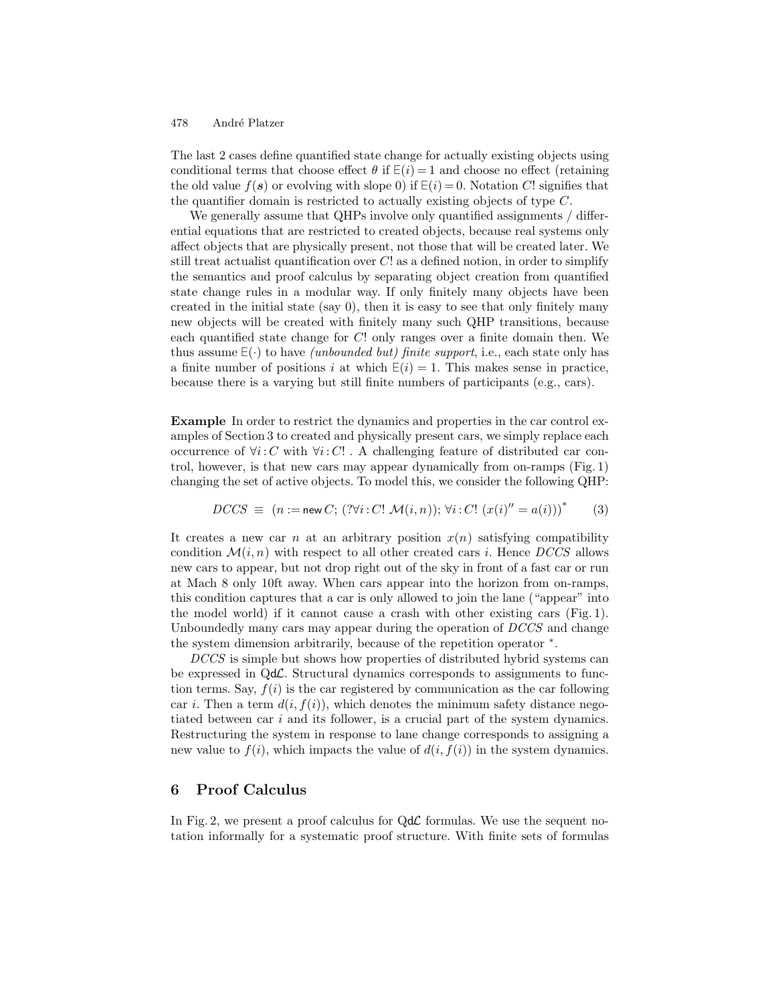The last 2 cases define quantified state change for actually existing objects using conditional terms that choose effect  $\theta$  if  $E(i) = 1$  and choose no effect (retaining the old value  $f(\mathbf{s})$  or evolving with slope 0) if  $E(i) = 0$ . Notation C! signifies that the quantifier domain is restricted to actually existing objects of type C.

We generally assume that QHPs involve only quantified assignments / differential equations that are restricted to created objects, because real systems only affect objects that are physically present, not those that will be created later. We still treat actualist quantification over C! as a defined notion, in order to simplify the semantics and proof calculus by separating object creation from quantified state change rules in a modular way. If only finitely many objects have been created in the initial state (say  $0$ ), then it is easy to see that only finitely many new objects will be created with finitely many such QHP transitions, because each quantified state change for C! only ranges over a finite domain then. We thus assume  $E(\cdot)$  to have *(unbounded but) finite support*, i.e., each state only has a finite number of positions i at which  $E(i) = 1$ . This makes sense in practice, because there is a varying but still finite numbers of participants (e.g., cars).

Example In order to restrict the dynamics and properties in the car control examples of Section 3 to created and physically present cars, we simply replace each occurrence of  $\forall i: C$  with  $\forall i: C!$ . A challenging feature of distributed car control, however, is that new cars may appear dynamically from on-ramps (Fig. 1) changing the set of active objects. To model this, we consider the following QHP:

$$
DCCS \equiv (n := \text{new } C; \ (\forall i : C! \ \mathcal{M}(i, n)); \ \forall i : C! \ (x(i)^{\prime\prime} = a(i)))^*
$$
 (3)

It creates a new car n at an arbitrary position  $x(n)$  satisfying compatibility condition  $\mathcal{M}(i, n)$  with respect to all other created cars i. Hence DCCS allows new cars to appear, but not drop right out of the sky in front of a fast car or run at Mach 8 only 10ft away. When cars appear into the horizon from on-ramps, this condition captures that a car is only allowed to join the lane ("appear" into the model world) if it cannot cause a crash with other existing cars (Fig. 1). Unboundedly many cars may appear during the operation of DCCS and change the system dimension arbitrarily, because of the repetition operator <sup>∗</sup> .

DCCS is simple but shows how properties of distributed hybrid systems can be expressed in  $Qd\mathcal{L}$ . Structural dynamics corresponds to assignments to function terms. Say,  $f(i)$  is the car registered by communication as the car following car i. Then a term  $d(i, f(i))$ , which denotes the minimum safety distance negotiated between car  $i$  and its follower, is a crucial part of the system dynamics. Restructuring the system in response to lane change corresponds to assigning a new value to  $f(i)$ , which impacts the value of  $d(i, f(i))$  in the system dynamics.

## 6 Proof Calculus

In Fig. 2, we present a proof calculus for  $Qd\mathcal{L}$  formulas. We use the sequent notation informally for a systematic proof structure. With finite sets of formulas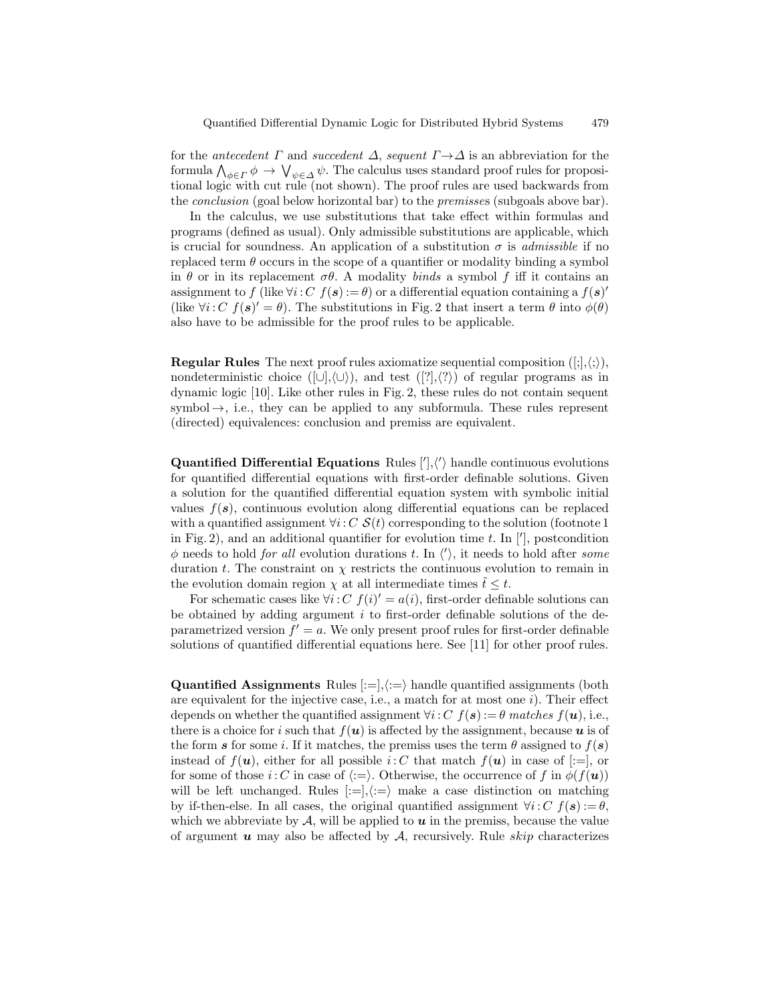for the *antecedent*  $\Gamma$  and *succedent*  $\Delta$ , *sequent*  $\Gamma \rightarrow \Delta$  is an abbreviation for the formula  $\bigwedge_{\phi \in \Gamma} \phi \to \bigvee_{\psi \in \Delta} \psi$ . The calculus uses standard proof rules for propositional logic with cut rule (not shown). The proof rules are used backwards from the conclusion (goal below horizontal bar) to the premisses (subgoals above bar).

In the calculus, we use substitutions that take effect within formulas and programs (defined as usual). Only admissible substitutions are applicable, which is crucial for soundness. An application of a substitution  $\sigma$  is *admissible* if no replaced term  $\theta$  occurs in the scope of a quantifier or modality binding a symbol in  $\theta$  or in its replacement  $\sigma\theta$ . A modality binds a symbol f iff it contains an assignment to f (like  $\forall i: C \ f(s) := \theta$ ) or a differential equation containing a  $f(s)$ ' (like  $\forall i: C \ f(\mathbf{s})' = \theta$ ). The substitutions in Fig. 2 that insert a term  $\theta$  into  $\phi(\theta)$ also have to be admissible for the proof rules to be applicable.

**Regular Rules** The next proof rules axiomatize sequential composition  $([;],\langle;\rangle),$ nondeterministic choice ( $[\cup], \langle \cup \rangle$ ), and test ( $[?], \langle ? \rangle$ ) of regular programs as in dynamic logic [10]. Like other rules in Fig. 2, these rules do not contain sequent symbol  $\rightarrow$ , i.e., they can be applied to any subformula. These rules represent (directed) equivalences: conclusion and premiss are equivalent.

Quantified Differential Equations Rules  $\vert \cdot \vert / \langle \cdot \rangle$  handle continuous evolutions for quantified differential equations with first-order definable solutions. Given a solution for the quantified differential equation system with symbolic initial values  $f(s)$ , continuous evolution along differential equations can be replaced with a quantified assignment  $\forall i: C \mathcal{S}(t)$  corresponding to the solution (footnote 1 in Fig. 2), and an additional quantifier for evolution time  $t$ . In ['], postcondition  $\phi$  needs to hold *for all* evolution durations t. In  $\langle \cdot \rangle$ , it needs to hold after *some* duration t. The constraint on  $\chi$  restricts the continuous evolution to remain in the evolution domain region  $\chi$  at all intermediate times  $\tilde{t} \leq t$ .

For schematic cases like  $\forall i: C \ f(i)' = a(i)$ , first-order definable solutions can be obtained by adding argument  $i$  to first-order definable solutions of the deparametrized version  $f' = a$ . We only present proof rules for first-order definable solutions of quantified differential equations here. See [11] for other proof rules.

**Quantified Assignments** Rules  $\left|:=\right|,\left|:=\right|$  handle quantified assignments (both are equivalent for the injective case, i.e., a match for at most one  $i$ ). Their effect depends on whether the quantified assignment  $\forall i: C \ f(\mathbf{s}) := \theta$  matches  $f(\mathbf{u})$ , i.e., there is a choice for i such that  $f(u)$  is affected by the assignment, because u is of the form s for some i. If it matches, the premiss uses the term  $\theta$  assigned to  $f(\mathbf{s})$ instead of  $f(\mathbf{u})$ , either for all possible  $i:C$  that match  $f(\mathbf{u})$  in case of  $[:=]$ , or for some of those  $i:C$  in case of  $\langle:=\rangle$ . Otherwise, the occurrence of f in  $\phi(f(\boldsymbol{u}))$ will be left unchanged. Rules  $|:=\rangle$ ,  $|:=\rangle$  make a case distinction on matching by if-then-else. In all cases, the original quantified assignment  $\forall i: C \; f(\mathbf{s}) := \theta$ , which we abbreviate by  $A$ , will be applied to  $u$  in the premiss, because the value of argument  $u$  may also be affected by  $A$ , recursively. Rule *skip* characterizes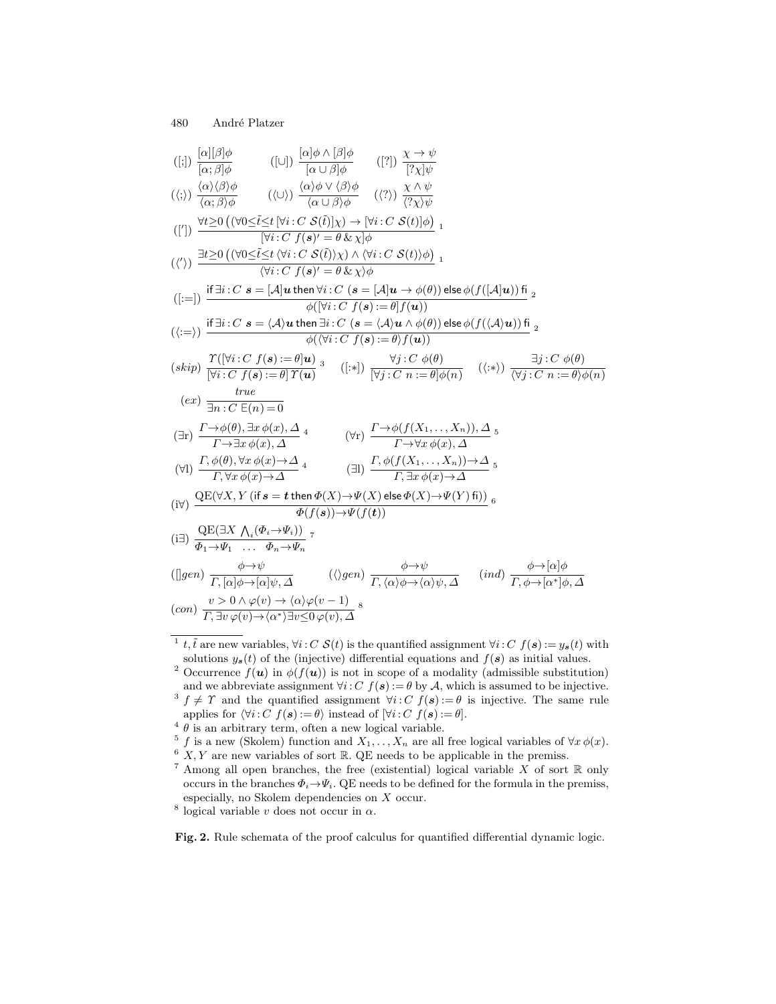([;]) [α][β]φ [α; β]φ (h;i) hαihβiφ hα; βiφ ([∪]) [α]φ ∧ [β]φ [α ∪ β]φ (h∪i) hαiφ ∨ hβiφ hα ∪ βiφ ([?]) χ → ψ [?χ]ψ (h?i) χ ∧ ψ h?χiψ ([0 ]) ∀t≥0 (∀0≤t˜≤t[∀i: C S(t˜)]χ) → [∀i: C S(t)]φ [∀i: C f(s) <sup>0</sup> = θ & χ]φ 1 (h 0 i) ∃t≥0 (∀0≤t˜≤th∀i: C S(t˜)iχ) ∧ h∀i: C S(t)iφ h∀i: C f(s) <sup>0</sup> = θ & χiφ 1 ([:=]) if ∃i: C s = [A]u then ∀i: C (s = [A]u → φ(θ)) else φ(f([A]u)) fi φ([∀i: C f(s) := θ]f(u)) 2 (h:=i) if ∃i: C s = hAiu then ∃i: C (s = hAiu ∧ φ(θ)) else φ(f(hAiu)) fi φ(h∀i: C f(s) := θif(u)) 2 (skip) Υ([∀i: C f(s) := θ]u) [∀i: C f(s) := θ]Υ(u) 3 (ex) true ∃n : C ∃ (n) = 0 ([:∗]) ∀j : C φ(θ) [∀j : C n := θ]φ(n) (h:∗i) ∃j : C φ(θ) h∀j : C n := θiφ(n) (∃r) Γ→φ(θ), ∃x φ(x), ∆ Γ→∃x φ(x), ∆ 4 (∀l) Γ, φ(θ), ∀x φ(x)→∆ Γ, ∀x φ(x)→∆ 4 (∀r) Γ→φ(f(X1, . . , Xn)), ∆ Γ→∀x φ(x), ∆ 5 (∃l) Γ, φ(f(X1, . . , Xn))→∆ Γ, ∃x φ(x)→∆ 5 (i∀) QE(∀X, Y (if s = t then Φ(X)→Ψ(X) else Φ(X)→Ψ(Y ) fi)) Φ(f(s))→Ψ(f(t)) 6 (i∃) QE(∃X V i (Φi→Ψi)) Φ1→Ψ<sup>1</sup> . . . Φn→Ψ<sup>n</sup> 7 ([]gen) φ→ψ Γ, [α]φ→[α]ψ, ∆ (higen) φ→ψ Γ,hαiφ→hαiψ, ∆ (ind) φ→[α]φ Γ, φ→[α<sup>∗</sup>]φ, ∆ (con) v > 0 ∧ ϕ(v) → hαiϕ(v − 1) Γ, ∃v ϕ(v)→hα<sup>∗</sup>i∃v≤0 ϕ(v), ∆ 8

<sup>1</sup> t, t are new variables,  $\forall i: C \mathcal{S}(t)$  is the quantified assignment  $\forall i: C \mathcal{f}(s) := y_s(t)$  with solutions  $y_s(t)$  of the (injective) differential equations and  $f(s)$  as initial values.

<sup>2</sup> Occurrence  $f(\boldsymbol{u})$  in  $\phi(f(\boldsymbol{u}))$  is not in scope of a modality (admissible substitution) and we abbreviate assignment  $\forall i: C \ f(s) := \theta$  by  $\mathcal{A}$ , which is assumed to be injective.<br><sup>3</sup>  $f \neq \Upsilon$  and the quantified assignment  $\forall i: C \ f(s) := \theta$  is injective. The same rule

<sup>5</sup> f is a new (Skolem) function and  $X_1, \ldots, X_n$  are all free logical variables of  $\forall x \phi(x)$ .

<sup>8</sup> logical variable v does not occur in  $\alpha$ .

Fig. 2. Rule schemata of the proof calculus for quantified differential dynamic logic.

applies for  $\langle \forall i: C \vert f(\mathbf{s}) := \theta \rangle$  instead of  $[\forall i: C \vert f(\mathbf{s}) := \theta].$ 

 $4 \theta$  is an arbitrary term, often a new logical variable.

 $6 X, Y$  are new variables of sort R. QE needs to be applicable in the premiss.

<sup>&</sup>lt;sup>7</sup> Among all open branches, the free (existential) logical variable X of sort  $\mathbb R$  only occurs in the branches  $\Phi_i \rightarrow \Psi_i$ . QE needs to be defined for the formula in the premiss, especially, no Skolem dependencies on X occur.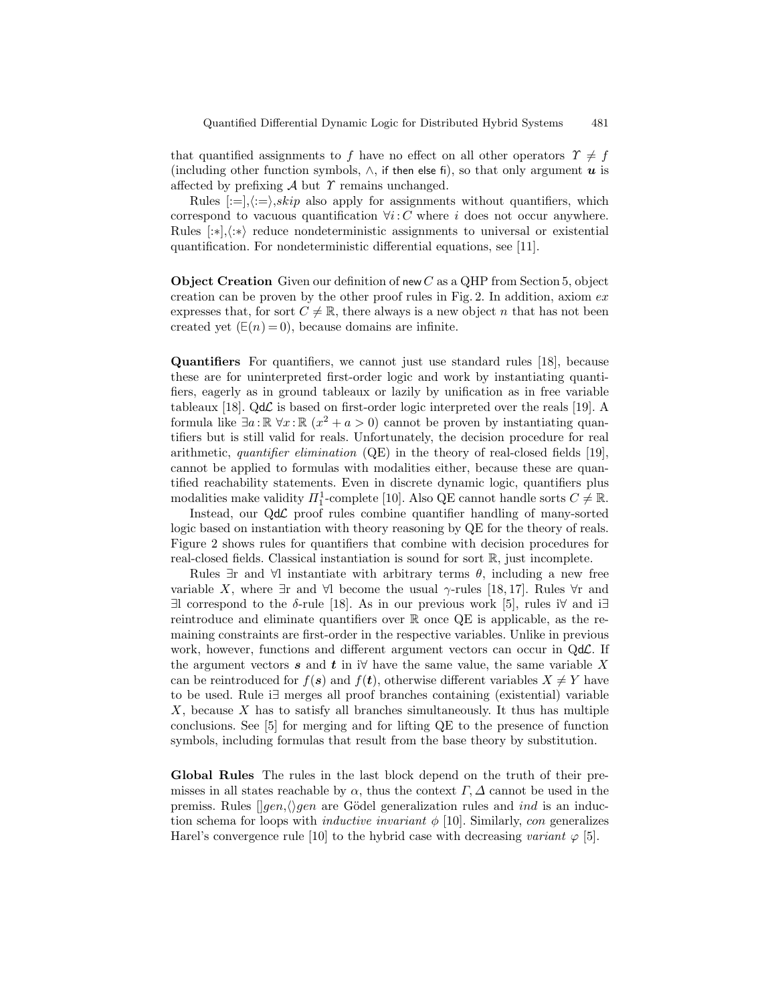that quantified assignments to f have no effect on all other operators  $\Upsilon \neq f$ (including other function symbols,  $\wedge$ , if then else fi), so that only argument u is affected by prefixing  $\mathcal A$  but  $\mathcal T$  remains unchanged.

Rules  $[:=], \langle := \rangle,$ skip also apply for assignments without quantifiers, which correspond to vacuous quantification  $\forall i: C$  where i does not occur anywhere. Rules  $[:*], \langle : \rangle$  reduce nondeterministic assignments to universal or existential quantification. For nondeterministic differential equations, see [11].

**Object Creation** Given our definition of new C as a QHP from Section 5, object creation can be proven by the other proof rules in Fig. 2. In addition, axiom  $ex$ expresses that, for sort  $C \neq \mathbb{R}$ , there always is a new object n that has not been created yet  $(E(n) = 0)$ , because domains are infinite.

Quantifiers For quantifiers, we cannot just use standard rules [18], because these are for uninterpreted first-order logic and work by instantiating quantifiers, eagerly as in ground tableaux or lazily by unification as in free variable tableaux [18]. Qd $\mathcal{L}$  is based on first-order logic interpreted over the reals [19]. A formula like  $\exists a : \mathbb{R} \ \forall x : \mathbb{R} \ (x^2 + a > 0)$  cannot be proven by instantiating quantifiers but is still valid for reals. Unfortunately, the decision procedure for real arithmetic, quantifier elimination (QE) in the theory of real-closed fields [19], cannot be applied to formulas with modalities either, because these are quantified reachability statements. Even in discrete dynamic logic, quantifiers plus modalities make validity  $\Pi_1^1$ -complete [10]. Also QE cannot handle sorts  $C \neq \mathbb{R}$ .

Instead, our  $Qd\mathcal{L}$  proof rules combine quantifier handling of many-sorted logic based on instantiation with theory reasoning by QE for the theory of reals. Figure 2 shows rules for quantifiers that combine with decision procedures for real-closed fields. Classical instantiation is sound for sort R, just incomplete.

Rules  $\exists r$  and  $\forall l$  instantiate with arbitrary terms  $\theta$ , including a new free variable X, where  $\exists r$  and  $\forall l$  become the usual  $\gamma$ -rules [18, 17]. Rules  $\forall r$  and  $\exists l$  correspond to the  $\delta$ -rule [18]. As in our previous work [5], rules i $\forall$  and i $\exists$ reintroduce and eliminate quantifiers over  $\mathbb R$  once  $\mathrm{QE}$  is applicable, as the remaining constraints are first-order in the respective variables. Unlike in previous work, however, functions and different argument vectors can occur in  $Qd\mathcal{L}$ . If the argument vectors s and t in i $\forall$  have the same value, the same variable X can be reintroduced for  $f(\mathbf{s})$  and  $f(\mathbf{t})$ , otherwise different variables  $X \neq Y$  have to be used. Rule i∃ merges all proof branches containing (existential) variable  $X$ , because  $X$  has to satisfy all branches simultaneously. It thus has multiple conclusions. See [5] for merging and for lifting QE to the presence of function symbols, including formulas that result from the base theory by substitution.

Global Rules The rules in the last block depend on the truth of their premisses in all states reachable by  $\alpha$ , thus the context  $\Gamma$ ,  $\Delta$  cannot be used in the premiss. Rules  $[gen,\langle\rangle\rangle\$ gen are Gödel generalization rules and ind is an induction schema for loops with *inductive invariant*  $\phi$  [10]. Similarly, *con* generalizes Harel's convergence rule [10] to the hybrid case with decreasing variant  $\varphi$  [5].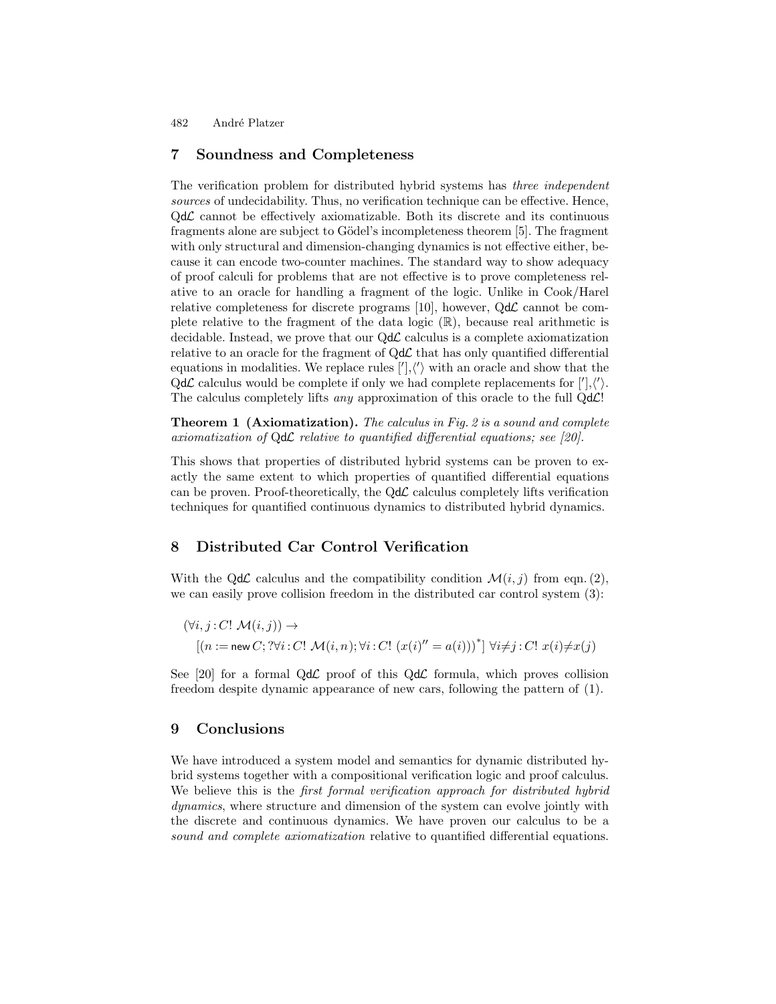## 7 Soundness and Completeness

The verification problem for distributed hybrid systems has three independent sources of undecidability. Thus, no verification technique can be effective. Hence,  $Qd\mathcal{L}$  cannot be effectively axiomatizable. Both its discrete and its continuous fragments alone are subject to Gödel's incompleteness theorem [5]. The fragment with only structural and dimension-changing dynamics is not effective either, because it can encode two-counter machines. The standard way to show adequacy of proof calculi for problems that are not effective is to prove completeness relative to an oracle for handling a fragment of the logic. Unlike in Cook/Harel relative completeness for discrete programs [10], however,  $Qd\mathcal{L}$  cannot be complete relative to the fragment of the data logic  $(\mathbb{R})$ , because real arithmetic is decidable. Instead, we prove that our  $Qd\mathcal{L}$  calculus is a complete axiomatization relative to an oracle for the fragment of  $Qd\mathcal{L}$  that has only quantified differential equations in modalities. We replace rules  $\langle \cdot \rangle$ ,  $\langle \cdot \rangle$  with an oracle and show that the  $Qd\mathcal{L}$  calculus would be complete if only we had complete replacements for  $[1], \langle \rangle$ . The calculus completely lifts *any* approximation of this oracle to the full  $Qd\mathcal{L}$ !

**Theorem 1 (Axiomatization).** The calculus in Fig. 2 is a sound and complete axiomatization of  $Qd\mathcal{L}$  relative to quantified differential equations; see [20].

This shows that properties of distributed hybrid systems can be proven to exactly the same extent to which properties of quantified differential equations can be proven. Proof-theoretically, the  $Qd\mathcal{L}$  calculus completely lifts verification techniques for quantified continuous dynamics to distributed hybrid dynamics.

# 8 Distributed Car Control Verification

With the QdC calculus and the compatibility condition  $\mathcal{M}(i, j)$  from eqn. (2), we can easily prove collision freedom in the distributed car control system (3):

$$
(\forall i, j : C! \mathcal{M}(i, j)) \rightarrow
$$
  
 
$$
[(n := new C; ?\forall i : C! \mathcal{M}(i, n); \forall i : C! (x(i)^{\prime\prime} = a(i)))^*] \forall i \neq j : C! x(i) \neq x(j)
$$

See [20] for a formal  $Qd\mathcal{L}$  proof of this  $Qd\mathcal{L}$  formula, which proves collision freedom despite dynamic appearance of new cars, following the pattern of (1).

## 9 Conclusions

We have introduced a system model and semantics for dynamic distributed hybrid systems together with a compositional verification logic and proof calculus. We believe this is the *first formal verification approach for distributed hybrid* dynamics, where structure and dimension of the system can evolve jointly with the discrete and continuous dynamics. We have proven our calculus to be a sound and complete axiomatization relative to quantified differential equations.